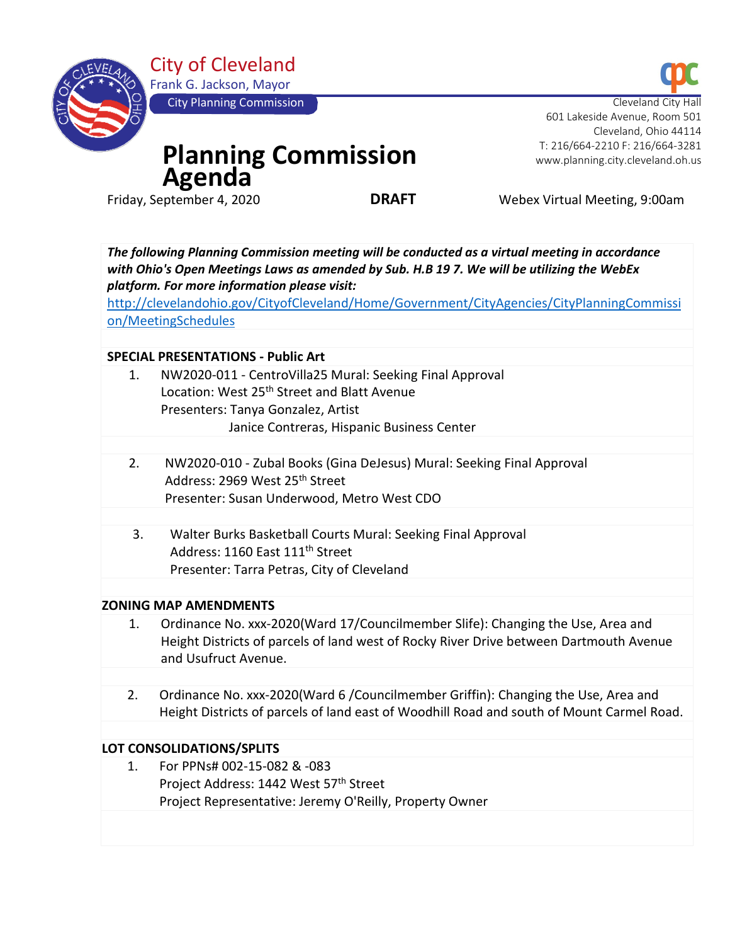

City of Cleveland Frank G. Jackson, Mayor

City Planning Commission

# **Planning Commission Agenda**<br>**Friday, September 4, 2020**

Cleveland City 601 Lakeside Avenue, Room 501 Cleveland, Ohio 44114 T: 216/664-2210 F: 216/664-3281 www.planning.city.cleveland.oh.us

**DRAFT** Webex Virtual Meeting, 9:00am

*The following Planning Commission meeting will be conducted as a virtual meeting in accordance with Ohio's Open Meetings Laws as amended by Sub. H.B 19 7. We will be utilizing the WebEx platform. For more information please visit:* 

[http://clevelandohio.gov/CityofCleveland/Home/Government/CityAgencies/CityPlanningCommissi](http://clevelandohio.gov/CityofCleveland/Home/Government/CityAgencies/CityPlanningCommission/MeetingSchedules) [on/MeetingSchedules](http://clevelandohio.gov/CityofCleveland/Home/Government/CityAgencies/CityPlanningCommission/MeetingSchedules)

## **SPECIAL PRESENTATIONS - Public Art**

- 1. NW2020-011 CentroVilla25 Mural: Seeking Final Approval Location: West 25<sup>th</sup> Street and Blatt Avenue Presenters: Tanya Gonzalez, Artist Janice Contreras, Hispanic Business Center
- 2. NW2020-010 Zubal Books (Gina DeJesus) Mural: Seeking Final Approval Address: 2969 West 25th Street Presenter: Susan Underwood, Metro West CDO
- 3. Walter Burks Basketball Courts Mural: Seeking Final Approval Address: 1160 East 111<sup>th</sup> Street Presenter: Tarra Petras, City of Cleveland

## **ZONING MAP AMENDMENTS**

- 1. Ordinance No. xxx-2020(Ward 17/Councilmember Slife): Changing the Use, Area and Height Districts of parcels of land west of Rocky River Drive between Dartmouth Avenue and Usufruct Avenue.
- 2. Ordinance No. xxx-2020(Ward 6 /Councilmember Griffin): Changing the Use, Area and Height Districts of parcels of land east of Woodhill Road and south of Mount Carmel Road.

## **LOT CONSOLIDATIONS/SPLITS**

1. For PPNs# 002-15-082 & -083 Project Address: 1442 West 57th Street Project Representative: Jeremy O'Reilly, Property Owner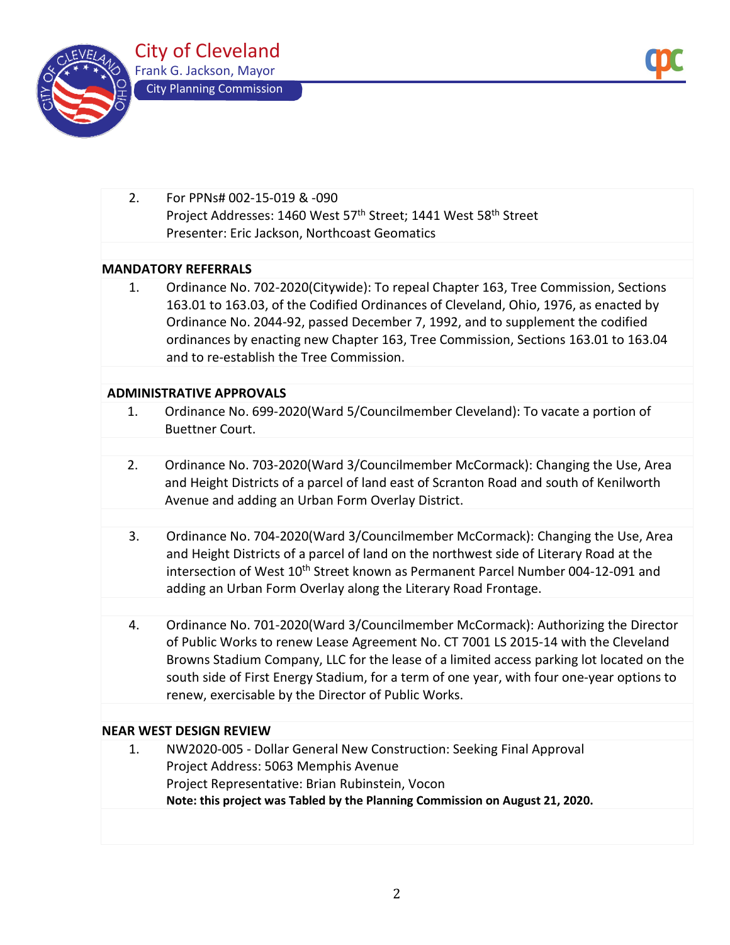



2. For PPNs# 002-15-019 & -090 Project Addresses: 1460 West 57<sup>th</sup> Street; 1441 West 58<sup>th</sup> Street Presenter: Eric Jackson, Northcoast Geomatics

## **MANDATORY REFERRALS**

1. Ordinance No. 702-2020(Citywide): To repeal Chapter 163, Tree Commission, Sections 163.01 to 163.03, of the Codified Ordinances of Cleveland, Ohio, 1976, as enacted by Ordinance No. 2044-92, passed December 7, 1992, and to supplement the codified ordinances by enacting new Chapter 163, Tree Commission, Sections 163.01 to 163.04 and to re-establish the Tree Commission.

#### **ADMINISTRATIVE APPROVALS**

- 1. Ordinance No. 699-2020(Ward 5/Councilmember Cleveland): To vacate a portion of Buettner Court.
- 2. Ordinance No. 703-2020(Ward 3/Councilmember McCormack): Changing the Use, Area and Height Districts of a parcel of land east of Scranton Road and south of Kenilworth Avenue and adding an Urban Form Overlay District.
- 3. Ordinance No. 704-2020(Ward 3/Councilmember McCormack): Changing the Use, Area and Height Districts of a parcel of land on the northwest side of Literary Road at the intersection of West 10<sup>th</sup> Street known as Permanent Parcel Number 004-12-091 and adding an Urban Form Overlay along the Literary Road Frontage.
- 4. Ordinance No. 701-2020(Ward 3/Councilmember McCormack): Authorizing the Director of Public Works to renew Lease Agreement No. CT 7001 LS 2015-14 with the Cleveland Browns Stadium Company, LLC for the lease of a limited access parking lot located on the south side of First Energy Stadium, for a term of one year, with four one-year options to renew, exercisable by the Director of Public Works.

#### **NEAR WEST DESIGN REVIEW**

1. NW2020-005 - Dollar General New Construction: Seeking Final Approval Project Address: 5063 Memphis Avenue Project Representative: Brian Rubinstein, Vocon **Note: this project was Tabled by the Planning Commission on August 21, 2020.**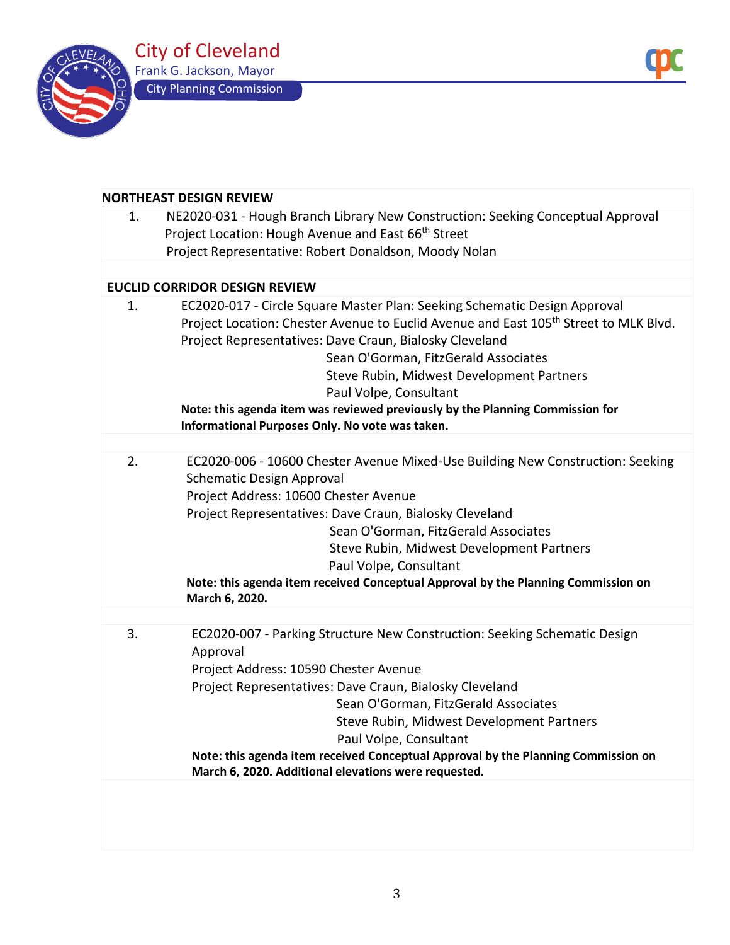



| 1. | NE2020-031 - Hough Branch Library New Construction: Seeking Conceptual Approval<br>Project Location: Hough Avenue and East 66 <sup>th</sup> Street |
|----|----------------------------------------------------------------------------------------------------------------------------------------------------|
|    | Project Representative: Robert Donaldson, Moody Nolan                                                                                              |
|    |                                                                                                                                                    |
|    | <b>EUCLID CORRIDOR DESIGN REVIEW</b>                                                                                                               |
| 1. | EC2020-017 - Circle Square Master Plan: Seeking Schematic Design Approval                                                                          |
|    | Project Location: Chester Avenue to Euclid Avenue and East 105 <sup>th</sup> Street to MLK Blvd.                                                   |
|    | Project Representatives: Dave Craun, Bialosky Cleveland                                                                                            |
|    | Sean O'Gorman, FitzGerald Associates                                                                                                               |
|    | Steve Rubin, Midwest Development Partners                                                                                                          |
|    | Paul Volpe, Consultant                                                                                                                             |
|    | Note: this agenda item was reviewed previously by the Planning Commission for                                                                      |
|    | Informational Purposes Only. No vote was taken.                                                                                                    |
|    |                                                                                                                                                    |
| 2. | EC2020-006 - 10600 Chester Avenue Mixed-Use Building New Construction: Seeking                                                                     |
|    | <b>Schematic Design Approval</b>                                                                                                                   |
|    | Project Address: 10600 Chester Avenue                                                                                                              |
|    | Project Representatives: Dave Craun, Bialosky Cleveland                                                                                            |
|    | Sean O'Gorman, FitzGerald Associates                                                                                                               |
|    | Steve Rubin, Midwest Development Partners                                                                                                          |
|    | Paul Volpe, Consultant                                                                                                                             |
|    | Note: this agenda item received Conceptual Approval by the Planning Commission on<br>March 6, 2020.                                                |
| 3. | EC2020-007 - Parking Structure New Construction: Seeking Schematic Design                                                                          |
|    | Approval                                                                                                                                           |
|    | Project Address: 10590 Chester Avenue                                                                                                              |
|    | Project Representatives: Dave Craun, Bialosky Cleveland                                                                                            |
|    | Sean O'Gorman, FitzGerald Associates                                                                                                               |
|    | Steve Rubin, Midwest Development Partners                                                                                                          |
|    | Paul Volpe, Consultant                                                                                                                             |
|    | Note: this agenda item received Conceptual Approval by the Planning Commission on                                                                  |
|    | March 6, 2020. Additional elevations were requested.                                                                                               |